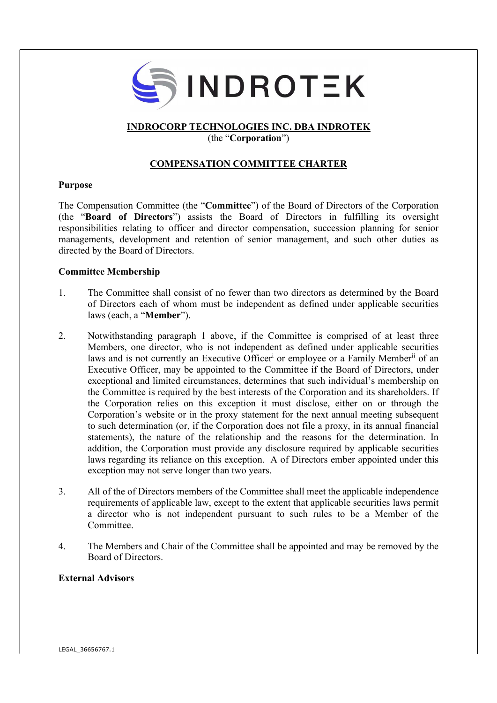

# INDROCORP TECHNOLOGIES INC. DBA INDROTEK

(the "Corporation")

# COMPENSATION COMMITTEE CHARTER

# Purpose

The Compensation Committee (the "Committee") of the Board of Directors of the Corporation (the "Board of Directors") assists the Board of Directors in fulfilling its oversight responsibilities relating to officer and director compensation, succession planning for senior managements, development and retention of senior management, and such other duties as directed by the Board of Directors.

### Committee Membership

- 1. The Committee shall consist of no fewer than two directors as determined by the Board of Directors each of whom must be independent as defined under applicable securities laws (each, a "Member").
- 2. Notwithstanding paragraph 1 above, if the Committee is comprised of at least three Members, one director, who is not independent as defined under applicable securities laws and is not currently an Executive Officer<sup>i</sup> or employee or a Family Member<sup>ii</sup> of an Executive Officer, may be appointed to the Committee if the Board of Directors, under exceptional and limited circumstances, determines that such individual's membership on the Committee is required by the best interests of the Corporation and its shareholders. If the Corporation relies on this exception it must disclose, either on or through the Corporation's website or in the proxy statement for the next annual meeting subsequent to such determination (or, if the Corporation does not file a proxy, in its annual financial statements), the nature of the relationship and the reasons for the determination. In addition, the Corporation must provide any disclosure required by applicable securities laws regarding its reliance on this exception. A of Directors ember appointed under this exception may not serve longer than two years.
- 3. All of the of Directors members of the Committee shall meet the applicable independence requirements of applicable law, except to the extent that applicable securities laws permit a director who is not independent pursuant to such rules to be a Member of the Committee.
- 4. The Members and Chair of the Committee shall be appointed and may be removed by the Board of Directors.

# External Advisors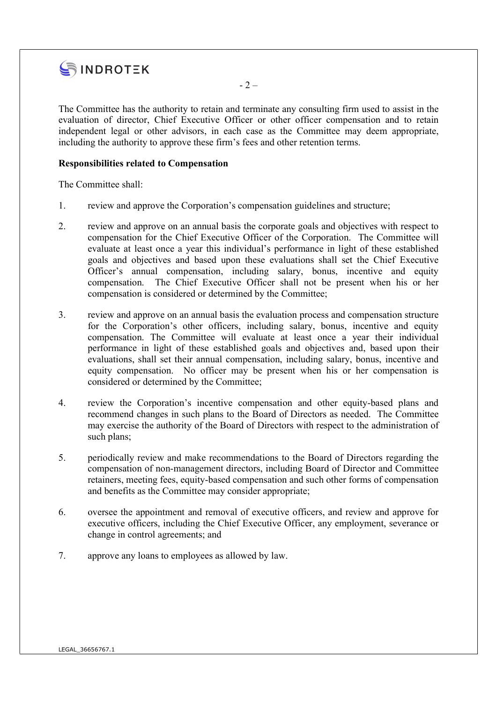

The Committee has the authority to retain and terminate any consulting firm used to assist in the evaluation of director, Chief Executive Officer or other officer compensation and to retain independent legal or other advisors, in each case as the Committee may deem appropriate, including the authority to approve these firm's fees and other retention terms.

 $-2 -$ 

### Responsibilities related to Compensation

The Committee shall:

- 1. review and approve the Corporation's compensation guidelines and structure;
- 2. review and approve on an annual basis the corporate goals and objectives with respect to compensation for the Chief Executive Officer of the Corporation. The Committee will evaluate at least once a year this individual's performance in light of these established goals and objectives and based upon these evaluations shall set the Chief Executive Officer's annual compensation, including salary, bonus, incentive and equity compensation. The Chief Executive Officer shall not be present when his or her compensation is considered or determined by the Committee;
- 3. review and approve on an annual basis the evaluation process and compensation structure for the Corporation's other officers, including salary, bonus, incentive and equity compensation. The Committee will evaluate at least once a year their individual performance in light of these established goals and objectives and, based upon their evaluations, shall set their annual compensation, including salary, bonus, incentive and equity compensation. No officer may be present when his or her compensation is considered or determined by the Committee;
- 4. review the Corporation's incentive compensation and other equity-based plans and recommend changes in such plans to the Board of Directors as needed. The Committee may exercise the authority of the Board of Directors with respect to the administration of such plans;
- 5. periodically review and make recommendations to the Board of Directors regarding the compensation of non-management directors, including Board of Director and Committee retainers, meeting fees, equity-based compensation and such other forms of compensation and benefits as the Committee may consider appropriate;
- 6. oversee the appointment and removal of executive officers, and review and approve for executive officers, including the Chief Executive Officer, any employment, severance or change in control agreements; and
- 7. approve any loans to employees as allowed by law.